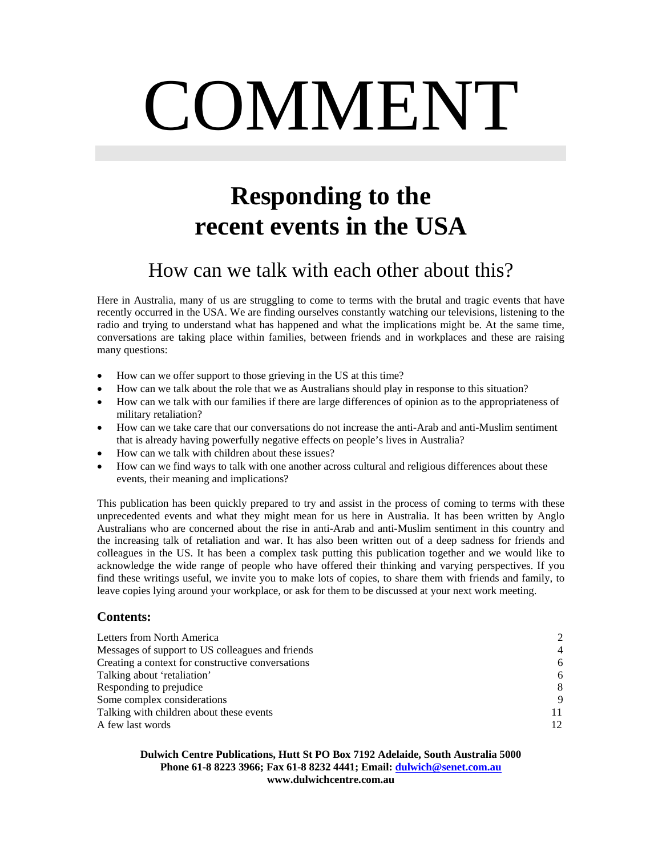# COMMENT

# **Responding to the recent events in the USA**

# How can we talk with each other about this?

Here in Australia, many of us are struggling to come to terms with the brutal and tragic events that have recently occurred in the USA. We are finding ourselves constantly watching our televisions, listening to the radio and trying to understand what has happened and what the implications might be. At the same time, conversations are taking place within families, between friends and in workplaces and these are raising many questions:

- How can we offer support to those grieving in the US at this time?
- How can we talk about the role that we as Australians should play in response to this situation?
- How can we talk with our families if there are large differences of opinion as to the appropriateness of military retaliation?
- How can we take care that our conversations do not increase the anti-Arab and anti-Muslim sentiment that is already having powerfully negative effects on people's lives in Australia?
- How can we talk with children about these issues?
- How can we find ways to talk with one another across cultural and religious differences about these events, their meaning and implications?

This publication has been quickly prepared to try and assist in the process of coming to terms with these unprecedented events and what they might mean for us here in Australia. It has been written by Anglo Australians who are concerned about the rise in anti-Arab and anti-Muslim sentiment in this country and the increasing talk of retaliation and war. It has also been written out of a deep sadness for friends and colleagues in the US. It has been a complex task putting this publication together and we would like to acknowledge the wide range of people who have offered their thinking and varying perspectives. If you find these writings useful, we invite you to make lots of copies, to share them with friends and family, to leave copies lying around your workplace, or ask for them to be discussed at your next work meeting.

# **Contents:**

| Letters from North America                        | $\mathcal{D}_{\mathcal{L}}$ |
|---------------------------------------------------|-----------------------------|
| Messages of support to US colleagues and friends  | $\overline{4}$              |
| Creating a context for constructive conversations | 6                           |
| Talking about 'retaliation'                       | 6                           |
| Responding to prejudice                           | 8                           |
| Some complex considerations                       | 9                           |
| Talking with children about these events          |                             |
| A few last words                                  | 12 <sub>1</sub>             |

#### **Dulwich Centre Publications, Hutt St PO Box 7192 Adelaide, South Australia 5000 Phone 61-8 8223 3966; Fax 61-8 8232 4441; Email: [dulwich@senet.com.au](mailto:dulwich@senet.com.au) www.dulwichcentre.com.au**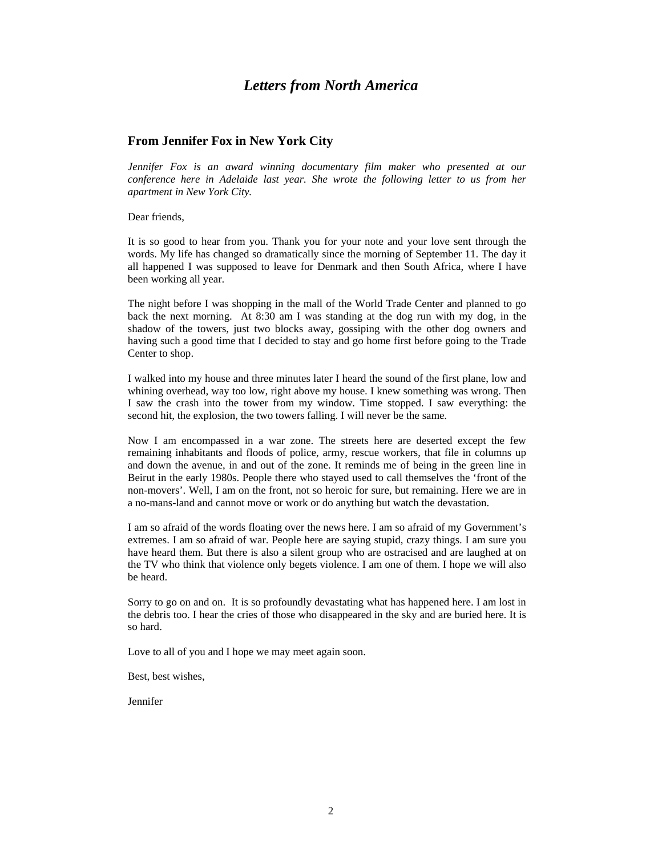# *Letters from North America*

#### **From Jennifer Fox in New York City**

*Jennifer Fox is an award winning documentary film maker who presented at our conference here in Adelaide last year. She wrote the following letter to us from her apartment in New York City.* 

Dear friends,

It is so good to hear from you. Thank you for your note and your love sent through the words. My life has changed so dramatically since the morning of September 11. The day it all happened I was supposed to leave for Denmark and then South Africa, where I have been working all year.

The night before I was shopping in the mall of the World Trade Center and planned to go back the next morning. At 8:30 am I was standing at the dog run with my dog, in the shadow of the towers, just two blocks away, gossiping with the other dog owners and having such a good time that I decided to stay and go home first before going to the Trade Center to shop.

I walked into my house and three minutes later I heard the sound of the first plane, low and whining overhead, way too low, right above my house. I knew something was wrong. Then I saw the crash into the tower from my window. Time stopped. I saw everything: the second hit, the explosion, the two towers falling. I will never be the same.

Now I am encompassed in a war zone. The streets here are deserted except the few remaining inhabitants and floods of police, army, rescue workers, that file in columns up and down the avenue, in and out of the zone. It reminds me of being in the green line in Beirut in the early 1980s. People there who stayed used to call themselves the 'front of the non-movers'. Well, I am on the front, not so heroic for sure, but remaining. Here we are in a no-mans-land and cannot move or work or do anything but watch the devastation.

I am so afraid of the words floating over the news here. I am so afraid of my Government's extremes. I am so afraid of war. People here are saying stupid, crazy things. I am sure you have heard them. But there is also a silent group who are ostracised and are laughed at on the TV who think that violence only begets violence. I am one of them. I hope we will also be heard.

Sorry to go on and on. It is so profoundly devastating what has happened here. I am lost in the debris too. I hear the cries of those who disappeared in the sky and are buried here. It is so hard.

Love to all of you and I hope we may meet again soon.

Best, best wishes,

Jennifer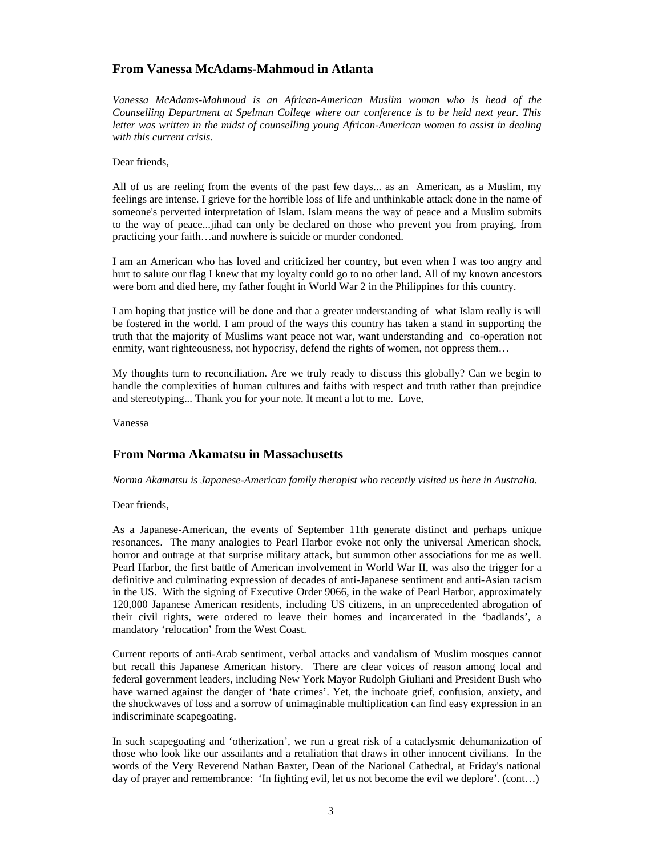#### **From Vanessa McAdams-Mahmoud in Atlanta**

*Vanessa McAdams-Mahmoud is an African-American Muslim woman who is head of the Counselling Department at Spelman College where our conference is to be held next year. This letter was written in the midst of counselling young African-American women to assist in dealing with this current crisis.* 

#### Dear friends,

All of us are reeling from the events of the past few days... as an American, as a Muslim, my feelings are intense. I grieve for the horrible loss of life and unthinkable attack done in the name of someone's perverted interpretation of Islam. Islam means the way of peace and a Muslim submits to the way of peace...jihad can only be declared on those who prevent you from praying, from practicing your faith…and nowhere is suicide or murder condoned.

I am an American who has loved and criticized her country, but even when I was too angry and hurt to salute our flag I knew that my loyalty could go to no other land. All of my known ancestors were born and died here, my father fought in World War 2 in the Philippines for this country.

I am hoping that justice will be done and that a greater understanding of what Islam really is will be fostered in the world. I am proud of the ways this country has taken a stand in supporting the truth that the majority of Muslims want peace not war, want understanding and co-operation not enmity, want righteousness, not hypocrisy, defend the rights of women, not oppress them…

My thoughts turn to reconciliation. Are we truly ready to discuss this globally? Can we begin to handle the complexities of human cultures and faiths with respect and truth rather than prejudice and stereotyping... Thank you for your note. It meant a lot to me. Love,

Vanessa

#### **From Norma Akamatsu in Massachusetts**

*Norma Akamatsu is Japanese-American family therapist who recently visited us here in Australia.* 

Dear friends,

As a Japanese-American, the events of September 11th generate distinct and perhaps unique resonances. The many analogies to Pearl Harbor evoke not only the universal American shock, horror and outrage at that surprise military attack, but summon other associations for me as well. Pearl Harbor, the first battle of American involvement in World War II, was also the trigger for a definitive and culminating expression of decades of anti-Japanese sentiment and anti-Asian racism in the US. With the signing of Executive Order 9066, in the wake of Pearl Harbor, approximately 120,000 Japanese American residents, including US citizens, in an unprecedented abrogation of their civil rights, were ordered to leave their homes and incarcerated in the 'badlands', a mandatory 'relocation' from the West Coast.

Current reports of anti-Arab sentiment, verbal attacks and vandalism of Muslim mosques cannot but recall this Japanese American history. There are clear voices of reason among local and federal government leaders, including New York Mayor Rudolph Giuliani and President Bush who have warned against the danger of 'hate crimes'. Yet, the inchoate grief, confusion, anxiety, and the shockwaves of loss and a sorrow of unimaginable multiplication can find easy expression in an indiscriminate scapegoating.

In such scapegoating and 'otherization', we run a great risk of a cataclysmic dehumanization of those who look like our assailants and a retaliation that draws in other innocent civilians. In the words of the Very Reverend Nathan Baxter, Dean of the National Cathedral, at Friday's national day of prayer and remembrance: 'In fighting evil, let us not become the evil we deplore'. (cont…)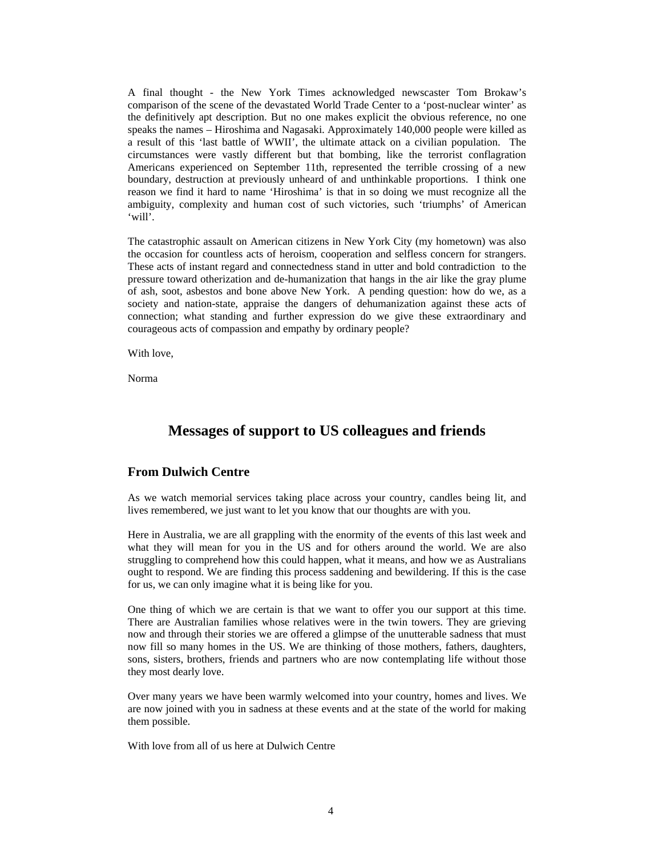A final thought - the New York Times acknowledged newscaster Tom Brokaw's comparison of the scene of the devastated World Trade Center to a 'post-nuclear winter' as the definitively apt description. But no one makes explicit the obvious reference, no one speaks the names – Hiroshima and Nagasaki. Approximately 140,000 people were killed as a result of this 'last battle of WWII', the ultimate attack on a civilian population. The circumstances were vastly different but that bombing, like the terrorist conflagration Americans experienced on September 11th, represented the terrible crossing of a new boundary, destruction at previously unheard of and unthinkable proportions. I think one reason we find it hard to name 'Hiroshima' is that in so doing we must recognize all the ambiguity, complexity and human cost of such victories, such 'triumphs' of American 'will'.

The catastrophic assault on American citizens in New York City (my hometown) was also the occasion for countless acts of heroism, cooperation and selfless concern for strangers. These acts of instant regard and connectedness stand in utter and bold contradiction to the pressure toward otherization and de-humanization that hangs in the air like the gray plume of ash, soot, asbestos and bone above New York. A pending question: how do we, as a society and nation-state, appraise the dangers of dehumanization against these acts of connection; what standing and further expression do we give these extraordinary and courageous acts of compassion and empathy by ordinary people?

With love,

Norma

# **Messages of support to US colleagues and friends**

#### **From Dulwich Centre**

As we watch memorial services taking place across your country, candles being lit, and lives remembered, we just want to let you know that our thoughts are with you.

Here in Australia, we are all grappling with the enormity of the events of this last week and what they will mean for you in the US and for others around the world. We are also struggling to comprehend how this could happen, what it means, and how we as Australians ought to respond. We are finding this process saddening and bewildering. If this is the case for us, we can only imagine what it is being like for you.

One thing of which we are certain is that we want to offer you our support at this time. There are Australian families whose relatives were in the twin towers. They are grieving now and through their stories we are offered a glimpse of the unutterable sadness that must now fill so many homes in the US. We are thinking of those mothers, fathers, daughters, sons, sisters, brothers, friends and partners who are now contemplating life without those they most dearly love.

Over many years we have been warmly welcomed into your country, homes and lives. We are now joined with you in sadness at these events and at the state of the world for making them possible.

With love from all of us here at Dulwich Centre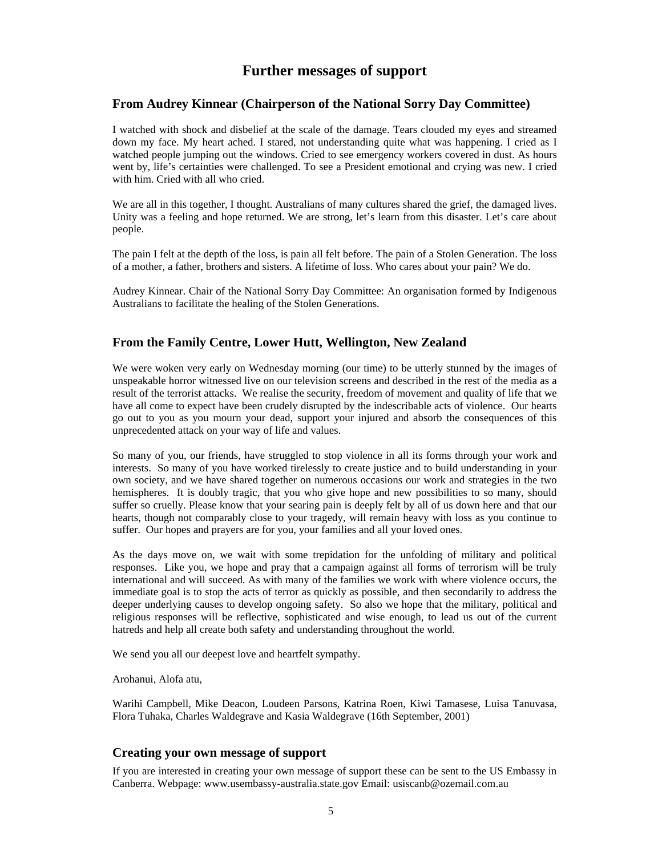# **Further messages of support**

#### **From Audrey Kinnear (Chairperson of the National Sorry Day Committee)**

I watched with shock and disbelief at the scale of the damage. Tears clouded my eyes and streamed down my face. My heart ached. I stared, not understanding quite what was happening. I cried as I watched people jumping out the windows. Cried to see emergency workers covered in dust. As hours went by, life's certainties were challenged. To see a President emotional and crying was new. I cried with him. Cried with all who cried.

We are all in this together, I thought. Australians of many cultures shared the grief, the damaged lives. Unity was a feeling and hope returned. We are strong, let's learn from this disaster. Let's care about people.

The pain I felt at the depth of the loss, is pain all felt before. The pain of a Stolen Generation. The loss of a mother, a father, brothers and sisters. A lifetime of loss. Who cares about your pain? We do.

Audrey Kinnear. Chair of the National Sorry Day Committee: An organisation formed by Indigenous Australians to facilitate the healing of the Stolen Generations.

## **From the Family Centre, Lower Hutt, Wellington, New Zealand**

We were woken very early on Wednesday morning (our time) to be utterly stunned by the images of unspeakable horror witnessed live on our television screens and described in the rest of the media as a result of the terrorist attacks. We realise the security, freedom of movement and quality of life that we have all come to expect have been crudely disrupted by the indescribable acts of violence. Our hearts go out to you as you mourn your dead, support your injured and absorb the consequences of this unprecedented attack on your way of life and values.

So many of you, our friends, have struggled to stop violence in all its forms through your work and interests. So many of you have worked tirelessly to create justice and to build understanding in your own society, and we have shared together on numerous occasions our work and strategies in the two hemispheres. It is doubly tragic, that you who give hope and new possibilities to so many, should suffer so cruelly. Please know that your searing pain is deeply felt by all of us down here and that our hearts, though not comparably close to your tragedy, will remain heavy with loss as you continue to suffer. Our hopes and prayers are for you, your families and all your loved ones.

As the days move on, we wait with some trepidation for the unfolding of military and political responses. Like you, we hope and pray that a campaign against all forms of terrorism will be truly international and will succeed. As with many of the families we work with where violence occurs, the immediate goal is to stop the acts of terror as quickly as possible, and then secondarily to address the deeper underlying causes to develop ongoing safety. So also we hope that the military, political and religious responses will be reflective, sophisticated and wise enough, to lead us out of the current hatreds and help all create both safety and understanding throughout the world.

We send you all our deepest love and heartfelt sympathy.

Arohanui, Alofa atu,

Warihi Campbell, Mike Deacon, Loudeen Parsons, Katrina Roen, Kiwi Tamasese, Luisa Tanuvasa, Flora Tuhaka, Charles Waldegrave and Kasia Waldegrave (16th September, 2001)

#### **Creating your own message of support**

If you are interested in creating your own message of support these can be sent to the US Embassy in Canberra. Webpage: www.usembassy-australia.state.gov Email: usiscanb@ozemail.com.au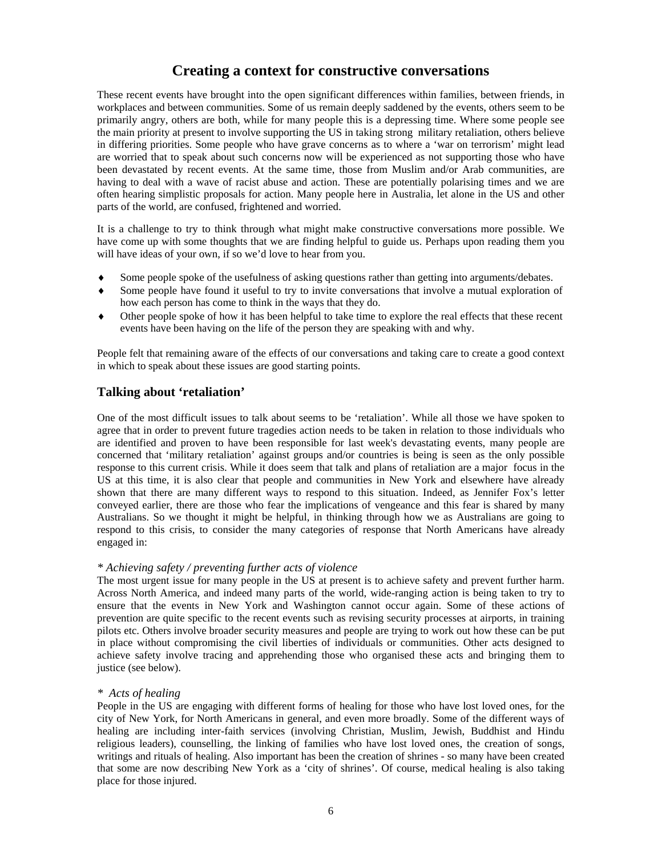# **Creating a context for constructive conversations**

These recent events have brought into the open significant differences within families, between friends, in workplaces and between communities. Some of us remain deeply saddened by the events, others seem to be primarily angry, others are both, while for many people this is a depressing time. Where some people see the main priority at present to involve supporting the US in taking strong military retaliation, others believe in differing priorities. Some people who have grave concerns as to where a 'war on terrorism' might lead are worried that to speak about such concerns now will be experienced as not supporting those who have been devastated by recent events. At the same time, those from Muslim and/or Arab communities, are having to deal with a wave of racist abuse and action. These are potentially polarising times and we are often hearing simplistic proposals for action. Many people here in Australia, let alone in the US and other parts of the world, are confused, frightened and worried.

It is a challenge to try to think through what might make constructive conversations more possible. We have come up with some thoughts that we are finding helpful to guide us. Perhaps upon reading them you will have ideas of your own, if so we'd love to hear from you.

- Some people spoke of the usefulness of asking questions rather than getting into arguments/debates.
- Some people have found it useful to try to invite conversations that involve a mutual exploration of how each person has come to think in the ways that they do.
- ♦ Other people spoke of how it has been helpful to take time to explore the real effects that these recent events have been having on the life of the person they are speaking with and why.

People felt that remaining aware of the effects of our conversations and taking care to create a good context in which to speak about these issues are good starting points.

## **Talking about 'retaliation'**

One of the most difficult issues to talk about seems to be 'retaliation'. While all those we have spoken to agree that in order to prevent future tragedies action needs to be taken in relation to those individuals who are identified and proven to have been responsible for last week's devastating events, many people are concerned that 'military retaliation' against groups and/or countries is being is seen as the only possible response to this current crisis. While it does seem that talk and plans of retaliation are a major focus in the US at this time, it is also clear that people and communities in New York and elsewhere have already shown that there are many different ways to respond to this situation. Indeed, as Jennifer Fox's letter conveyed earlier, there are those who fear the implications of vengeance and this fear is shared by many Australians. So we thought it might be helpful, in thinking through how we as Australians are going to respond to this crisis, to consider the many categories of response that North Americans have already engaged in:

#### *\* Achieving safety / preventing further acts of violence*

The most urgent issue for many people in the US at present is to achieve safety and prevent further harm. Across North America, and indeed many parts of the world, wide-ranging action is being taken to try to ensure that the events in New York and Washington cannot occur again. Some of these actions of prevention are quite specific to the recent events such as revising security processes at airports, in training pilots etc. Others involve broader security measures and people are trying to work out how these can be put in place without compromising the civil liberties of individuals or communities. Other acts designed to achieve safety involve tracing and apprehending those who organised these acts and bringing them to justice (see below).

#### *\* Acts of healing*

People in the US are engaging with different forms of healing for those who have lost loved ones, for the city of New York, for North Americans in general, and even more broadly. Some of the different ways of healing are including inter-faith services (involving Christian, Muslim, Jewish, Buddhist and Hindu religious leaders), counselling, the linking of families who have lost loved ones, the creation of songs, writings and rituals of healing. Also important has been the creation of shrines - so many have been created that some are now describing New York as a 'city of shrines'. Of course, medical healing is also taking place for those injured.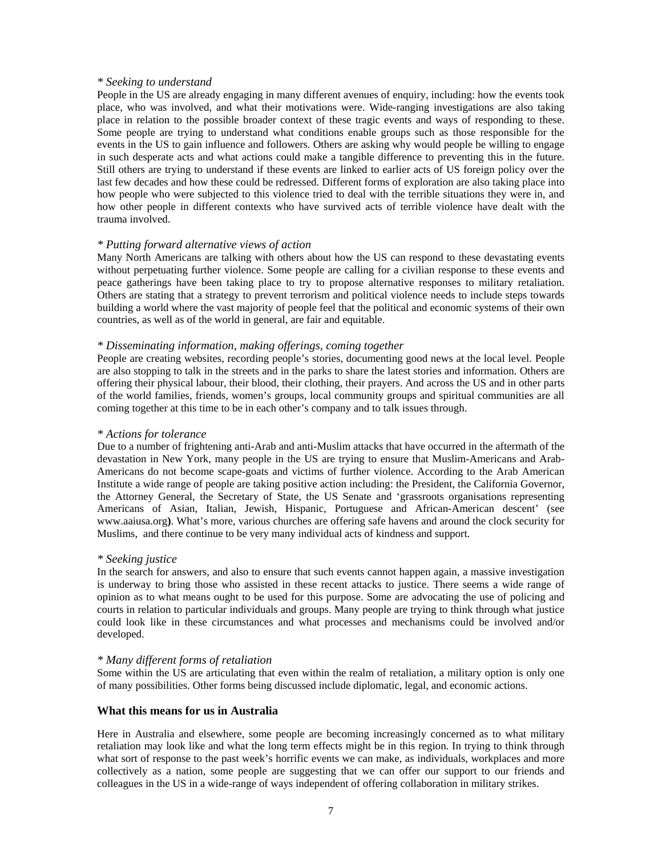#### *\* Seeking to understand*

People in the US are already engaging in many different avenues of enquiry, including: how the events took place, who was involved, and what their motivations were. Wide-ranging investigations are also taking place in relation to the possible broader context of these tragic events and ways of responding to these. Some people are trying to understand what conditions enable groups such as those responsible for the events in the US to gain influence and followers. Others are asking why would people be willing to engage in such desperate acts and what actions could make a tangible difference to preventing this in the future. Still others are trying to understand if these events are linked to earlier acts of US foreign policy over the last few decades and how these could be redressed. Different forms of exploration are also taking place into how people who were subjected to this violence tried to deal with the terrible situations they were in, and how other people in different contexts who have survived acts of terrible violence have dealt with the trauma involved.

#### *\* Putting forward alternative views of action*

Many North Americans are talking with others about how the US can respond to these devastating events without perpetuating further violence. Some people are calling for a civilian response to these events and peace gatherings have been taking place to try to propose alternative responses to military retaliation. Others are stating that a strategy to prevent terrorism and political violence needs to include steps towards building a world where the vast majority of people feel that the political and economic systems of their own countries, as well as of the world in general, are fair and equitable.

#### *\* Disseminating information, making offerings, coming together*

People are creating websites, recording people's stories, documenting good news at the local level. People are also stopping to talk in the streets and in the parks to share the latest stories and information. Others are offering their physical labour, their blood, their clothing, their prayers. And across the US and in other parts of the world families, friends, women's groups, local community groups and spiritual communities are all coming together at this time to be in each other's company and to talk issues through.

#### *\* Actions for tolerance*

Due to a number of frightening anti-Arab and anti-Muslim attacks that have occurred in the aftermath of the devastation in New York, many people in the US are trying to ensure that Muslim-Americans and Arab-Americans do not become scape-goats and victims of further violence. According to the Arab American Institute a wide range of people are taking positive action including: the President, the California Governor, the Attorney General, the Secretary of State, the US Senate and 'grassroots organisations representing Americans of Asian, Italian, Jewish, Hispanic, Portuguese and African-American descent' (see www.aaiusa.org**)**. What's more, various churches are offering safe havens and around the clock security for Muslims, and there continue to be very many individual acts of kindness and support.

#### *\* Seeking justice*

In the search for answers, and also to ensure that such events cannot happen again, a massive investigation is underway to bring those who assisted in these recent attacks to justice. There seems a wide range of opinion as to what means ought to be used for this purpose. Some are advocating the use of policing and courts in relation to particular individuals and groups. Many people are trying to think through what justice could look like in these circumstances and what processes and mechanisms could be involved and/or developed.

#### *\* Many different forms of retaliation*

Some within the US are articulating that even within the realm of retaliation, a military option is only one of many possibilities. Other forms being discussed include diplomatic, legal, and economic actions.

#### **What this means for us in Australia**

Here in Australia and elsewhere, some people are becoming increasingly concerned as to what military retaliation may look like and what the long term effects might be in this region. In trying to think through what sort of response to the past week's horrific events we can make, as individuals, workplaces and more collectively as a nation, some people are suggesting that we can offer our support to our friends and colleagues in the US in a wide-range of ways independent of offering collaboration in military strikes.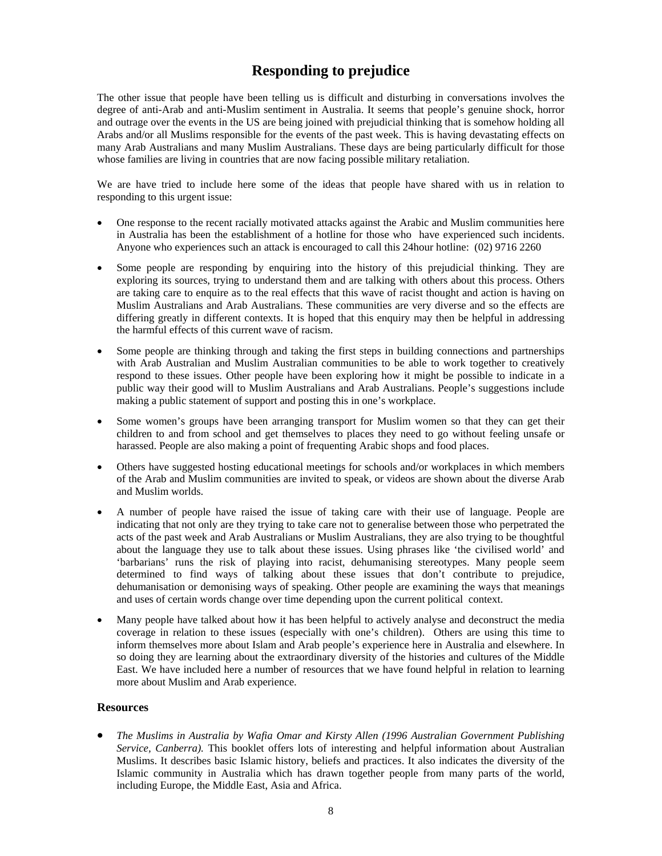# **Responding to prejudice**

The other issue that people have been telling us is difficult and disturbing in conversations involves the degree of anti-Arab and anti-Muslim sentiment in Australia. It seems that people's genuine shock, horror and outrage over the events in the US are being joined with prejudicial thinking that is somehow holding all Arabs and/or all Muslims responsible for the events of the past week. This is having devastating effects on many Arab Australians and many Muslim Australians. These days are being particularly difficult for those whose families are living in countries that are now facing possible military retaliation.

We are have tried to include here some of the ideas that people have shared with us in relation to responding to this urgent issue:

- One response to the recent racially motivated attacks against the Arabic and Muslim communities here in Australia has been the establishment of a hotline for those who have experienced such incidents. Anyone who experiences such an attack is encouraged to call this 24hour hotline: (02) 9716 2260
- Some people are responding by enquiring into the history of this prejudicial thinking. They are exploring its sources, trying to understand them and are talking with others about this process. Others are taking care to enquire as to the real effects that this wave of racist thought and action is having on Muslim Australians and Arab Australians. These communities are very diverse and so the effects are differing greatly in different contexts. It is hoped that this enquiry may then be helpful in addressing the harmful effects of this current wave of racism.
- Some people are thinking through and taking the first steps in building connections and partnerships with Arab Australian and Muslim Australian communities to be able to work together to creatively respond to these issues. Other people have been exploring how it might be possible to indicate in a public way their good will to Muslim Australians and Arab Australians. People's suggestions include making a public statement of support and posting this in one's workplace.
- Some women's groups have been arranging transport for Muslim women so that they can get their children to and from school and get themselves to places they need to go without feeling unsafe or harassed. People are also making a point of frequenting Arabic shops and food places.
- Others have suggested hosting educational meetings for schools and/or workplaces in which members of the Arab and Muslim communities are invited to speak, or videos are shown about the diverse Arab and Muslim worlds.
- A number of people have raised the issue of taking care with their use of language. People are indicating that not only are they trying to take care not to generalise between those who perpetrated the acts of the past week and Arab Australians or Muslim Australians, they are also trying to be thoughtful about the language they use to talk about these issues. Using phrases like 'the civilised world' and 'barbarians' runs the risk of playing into racist, dehumanising stereotypes. Many people seem determined to find ways of talking about these issues that don't contribute to prejudice, dehumanisation or demonising ways of speaking. Other people are examining the ways that meanings and uses of certain words change over time depending upon the current political context.
- Many people have talked about how it has been helpful to actively analyse and deconstruct the media coverage in relation to these issues (especially with one's children). Others are using this time to inform themselves more about Islam and Arab people's experience here in Australia and elsewhere. In so doing they are learning about the extraordinary diversity of the histories and cultures of the Middle East. We have included here a number of resources that we have found helpful in relation to learning more about Muslim and Arab experience.

#### **Resources**

• *The Muslims in Australia by Wafia Omar and Kirsty Allen (1996 Australian Government Publishing Service, Canberra).* This booklet offers lots of interesting and helpful information about Australian Muslims. It describes basic Islamic history, beliefs and practices. It also indicates the diversity of the Islamic community in Australia which has drawn together people from many parts of the world, including Europe, the Middle East, Asia and Africa.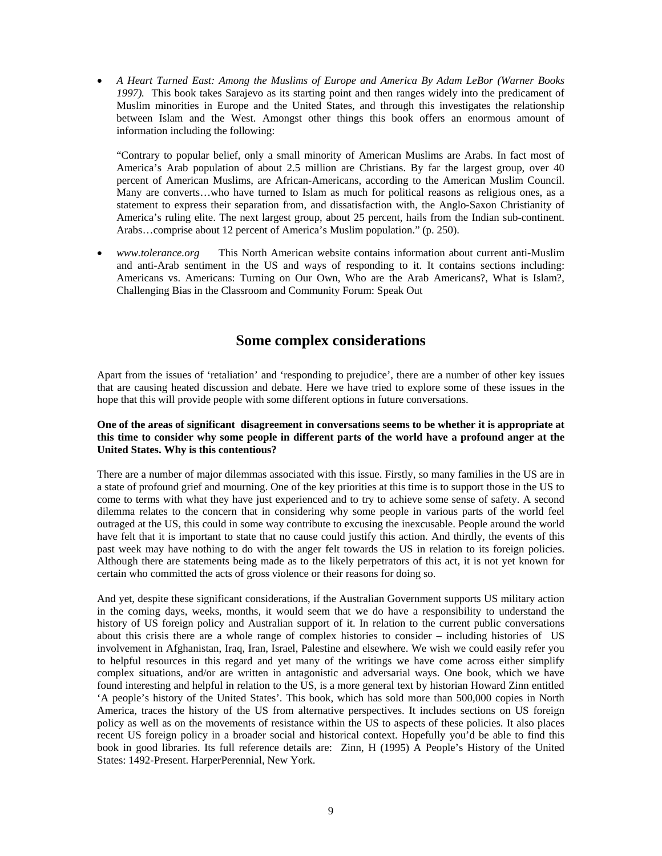• *A Heart Turned East: Among the Muslims of Europe and America By Adam LeBor (Warner Books 1997).* This book takes Sarajevo as its starting point and then ranges widely into the predicament of Muslim minorities in Europe and the United States, and through this investigates the relationship between Islam and the West. Amongst other things this book offers an enormous amount of information including the following:

"Contrary to popular belief, only a small minority of American Muslims are Arabs. In fact most of America's Arab population of about 2.5 million are Christians. By far the largest group, over 40 percent of American Muslims, are African-Americans, according to the American Muslim Council. Many are converts…who have turned to Islam as much for political reasons as religious ones, as a statement to express their separation from, and dissatisfaction with, the Anglo-Saxon Christianity of America's ruling elite. The next largest group, about 25 percent, hails from the Indian sub-continent. Arabs…comprise about 12 percent of America's Muslim population." (p. 250).

• *[www.tolerance.org](http://www.tolerance.org/)* This North American website contains information about current anti-Muslim and anti-Arab sentiment in the US and ways of responding to it. It contains sections including: Americans vs. Americans: Turning on Our Own, Who are the Arab Americans?, What is Islam?, Challenging Bias in the Classroom and Community Forum: Speak Out

# **Some complex considerations**

Apart from the issues of 'retaliation' and 'responding to prejudice', there are a number of other key issues that are causing heated discussion and debate. Here we have tried to explore some of these issues in the hope that this will provide people with some different options in future conversations.

#### **One of the areas of significant disagreement in conversations seems to be whether it is appropriate at this time to consider why some people in different parts of the world have a profound anger at the United States. Why is this contentious?**

There are a number of major dilemmas associated with this issue. Firstly, so many families in the US are in a state of profound grief and mourning. One of the key priorities at this time is to support those in the US to come to terms with what they have just experienced and to try to achieve some sense of safety. A second dilemma relates to the concern that in considering why some people in various parts of the world feel outraged at the US, this could in some way contribute to excusing the inexcusable. People around the world have felt that it is important to state that no cause could justify this action. And thirdly, the events of this past week may have nothing to do with the anger felt towards the US in relation to its foreign policies. Although there are statements being made as to the likely perpetrators of this act, it is not yet known for certain who committed the acts of gross violence or their reasons for doing so.

And yet, despite these significant considerations, if the Australian Government supports US military action in the coming days, weeks, months, it would seem that we do have a responsibility to understand the history of US foreign policy and Australian support of it. In relation to the current public conversations about this crisis there are a whole range of complex histories to consider – including histories of US involvement in Afghanistan, Iraq, Iran, Israel, Palestine and elsewhere. We wish we could easily refer you to helpful resources in this regard and yet many of the writings we have come across either simplify complex situations, and/or are written in antagonistic and adversarial ways. One book, which we have found interesting and helpful in relation to the US, is a more general text by historian Howard Zinn entitled 'A people's history of the United States'. This book, which has sold more than 500,000 copies in North America, traces the history of the US from alternative perspectives. It includes sections on US foreign policy as well as on the movements of resistance within the US to aspects of these policies. It also places recent US foreign policy in a broader social and historical context. Hopefully you'd be able to find this book in good libraries. Its full reference details are: Zinn, H (1995) A People's History of the United States: 1492-Present. HarperPerennial, New York.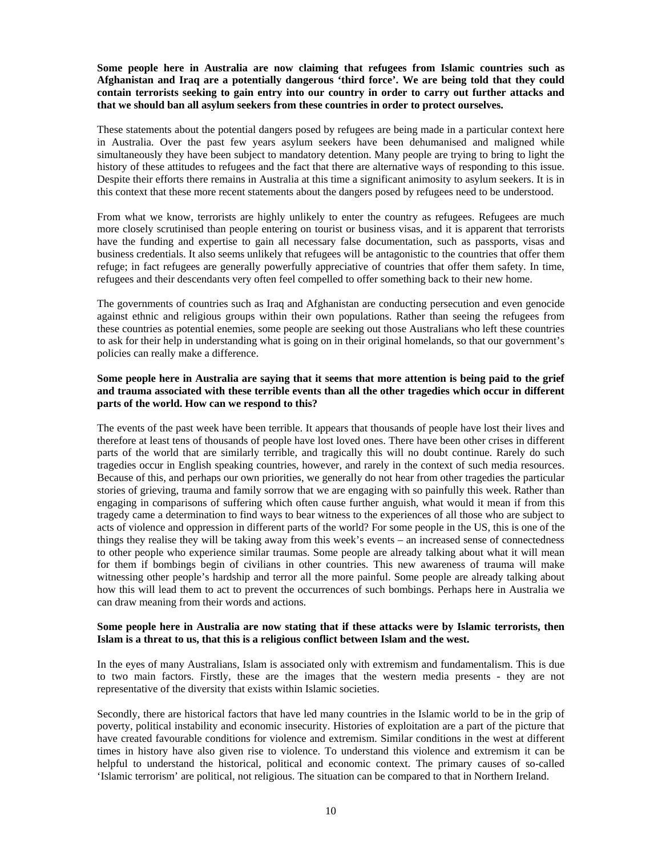**Some people here in Australia are now claiming that refugees from Islamic countries such as Afghanistan and Iraq are a potentially dangerous 'third force'. We are being told that they could contain terrorists seeking to gain entry into our country in order to carry out further attacks and that we should ban all asylum seekers from these countries in order to protect ourselves.** 

These statements about the potential dangers posed by refugees are being made in a particular context here in Australia. Over the past few years asylum seekers have been dehumanised and maligned while simultaneously they have been subject to mandatory detention. Many people are trying to bring to light the history of these attitudes to refugees and the fact that there are alternative ways of responding to this issue. Despite their efforts there remains in Australia at this time a significant animosity to asylum seekers. It is in this context that these more recent statements about the dangers posed by refugees need to be understood.

From what we know, terrorists are highly unlikely to enter the country as refugees. Refugees are much more closely scrutinised than people entering on tourist or business visas, and it is apparent that terrorists have the funding and expertise to gain all necessary false documentation, such as passports, visas and business credentials. It also seems unlikely that refugees will be antagonistic to the countries that offer them refuge; in fact refugees are generally powerfully appreciative of countries that offer them safety. In time, refugees and their descendants very often feel compelled to offer something back to their new home.

The governments of countries such as Iraq and Afghanistan are conducting persecution and even genocide against ethnic and religious groups within their own populations. Rather than seeing the refugees from these countries as potential enemies, some people are seeking out those Australians who left these countries to ask for their help in understanding what is going on in their original homelands, so that our government's policies can really make a difference.

#### **Some people here in Australia are saying that it seems that more attention is being paid to the grief and trauma associated with these terrible events than all the other tragedies which occur in different parts of the world. How can we respond to this?**

The events of the past week have been terrible. It appears that thousands of people have lost their lives and therefore at least tens of thousands of people have lost loved ones. There have been other crises in different parts of the world that are similarly terrible, and tragically this will no doubt continue. Rarely do such tragedies occur in English speaking countries, however, and rarely in the context of such media resources. Because of this, and perhaps our own priorities, we generally do not hear from other tragedies the particular stories of grieving, trauma and family sorrow that we are engaging with so painfully this week. Rather than engaging in comparisons of suffering which often cause further anguish, what would it mean if from this tragedy came a determination to find ways to bear witness to the experiences of all those who are subject to acts of violence and oppression in different parts of the world? For some people in the US, this is one of the things they realise they will be taking away from this week's events – an increased sense of connectedness to other people who experience similar traumas. Some people are already talking about what it will mean for them if bombings begin of civilians in other countries. This new awareness of trauma will make witnessing other people's hardship and terror all the more painful. Some people are already talking about how this will lead them to act to prevent the occurrences of such bombings. Perhaps here in Australia we can draw meaning from their words and actions.

#### **Some people here in Australia are now stating that if these attacks were by Islamic terrorists, then Islam is a threat to us, that this is a religious conflict between Islam and the west.**

In the eyes of many Australians, Islam is associated only with extremism and fundamentalism. This is due to two main factors. Firstly, these are the images that the western media presents - they are not representative of the diversity that exists within Islamic societies.

Secondly, there are historical factors that have led many countries in the Islamic world to be in the grip of poverty, political instability and economic insecurity. Histories of exploitation are a part of the picture that have created favourable conditions for violence and extremism. Similar conditions in the west at different times in history have also given rise to violence. To understand this violence and extremism it can be helpful to understand the historical, political and economic context. The primary causes of so-called 'Islamic terrorism' are political, not religious. The situation can be compared to that in Northern Ireland.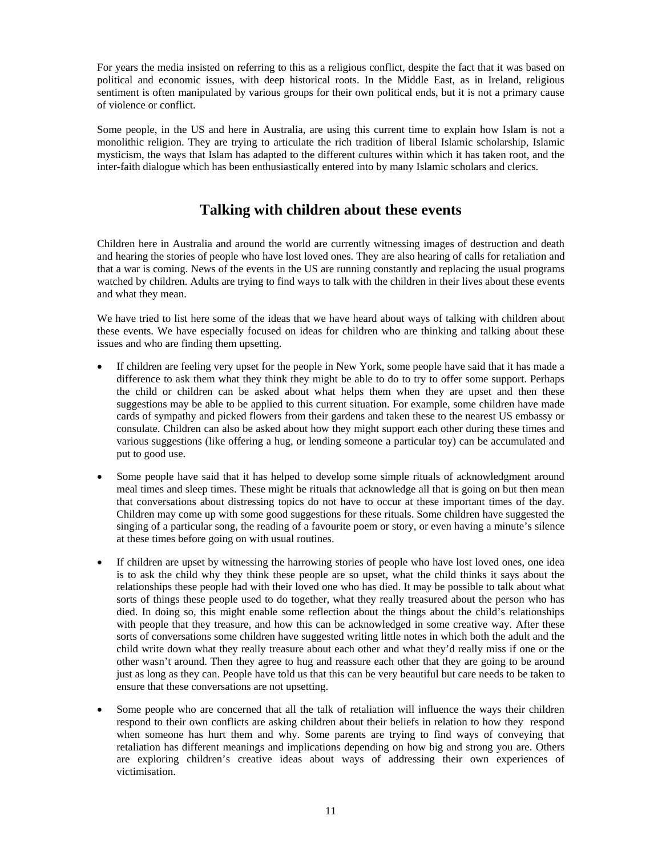For years the media insisted on referring to this as a religious conflict, despite the fact that it was based on political and economic issues, with deep historical roots. In the Middle East, as in Ireland, religious sentiment is often manipulated by various groups for their own political ends, but it is not a primary cause of violence or conflict.

Some people, in the US and here in Australia, are using this current time to explain how Islam is not a monolithic religion. They are trying to articulate the rich tradition of liberal Islamic scholarship, Islamic mysticism, the ways that Islam has adapted to the different cultures within which it has taken root, and the inter-faith dialogue which has been enthusiastically entered into by many Islamic scholars and clerics.

# **Talking with children about these events**

Children here in Australia and around the world are currently witnessing images of destruction and death and hearing the stories of people who have lost loved ones. They are also hearing of calls for retaliation and that a war is coming. News of the events in the US are running constantly and replacing the usual programs watched by children. Adults are trying to find ways to talk with the children in their lives about these events and what they mean.

We have tried to list here some of the ideas that we have heard about ways of talking with children about these events. We have especially focused on ideas for children who are thinking and talking about these issues and who are finding them upsetting.

- If children are feeling very upset for the people in New York, some people have said that it has made a difference to ask them what they think they might be able to do to try to offer some support. Perhaps the child or children can be asked about what helps them when they are upset and then these suggestions may be able to be applied to this current situation. For example, some children have made cards of sympathy and picked flowers from their gardens and taken these to the nearest US embassy or consulate. Children can also be asked about how they might support each other during these times and various suggestions (like offering a hug, or lending someone a particular toy) can be accumulated and put to good use.
- Some people have said that it has helped to develop some simple rituals of acknowledgment around meal times and sleep times. These might be rituals that acknowledge all that is going on but then mean that conversations about distressing topics do not have to occur at these important times of the day. Children may come up with some good suggestions for these rituals. Some children have suggested the singing of a particular song, the reading of a favourite poem or story, or even having a minute's silence at these times before going on with usual routines.
- If children are upset by witnessing the harrowing stories of people who have lost loved ones, one idea is to ask the child why they think these people are so upset, what the child thinks it says about the relationships these people had with their loved one who has died. It may be possible to talk about what sorts of things these people used to do together, what they really treasured about the person who has died. In doing so, this might enable some reflection about the things about the child's relationships with people that they treasure, and how this can be acknowledged in some creative way. After these sorts of conversations some children have suggested writing little notes in which both the adult and the child write down what they really treasure about each other and what they'd really miss if one or the other wasn't around. Then they agree to hug and reassure each other that they are going to be around just as long as they can. People have told us that this can be very beautiful but care needs to be taken to ensure that these conversations are not upsetting.
- Some people who are concerned that all the talk of retaliation will influence the ways their children respond to their own conflicts are asking children about their beliefs in relation to how they respond when someone has hurt them and why. Some parents are trying to find ways of conveying that retaliation has different meanings and implications depending on how big and strong you are. Others are exploring children's creative ideas about ways of addressing their own experiences of victimisation.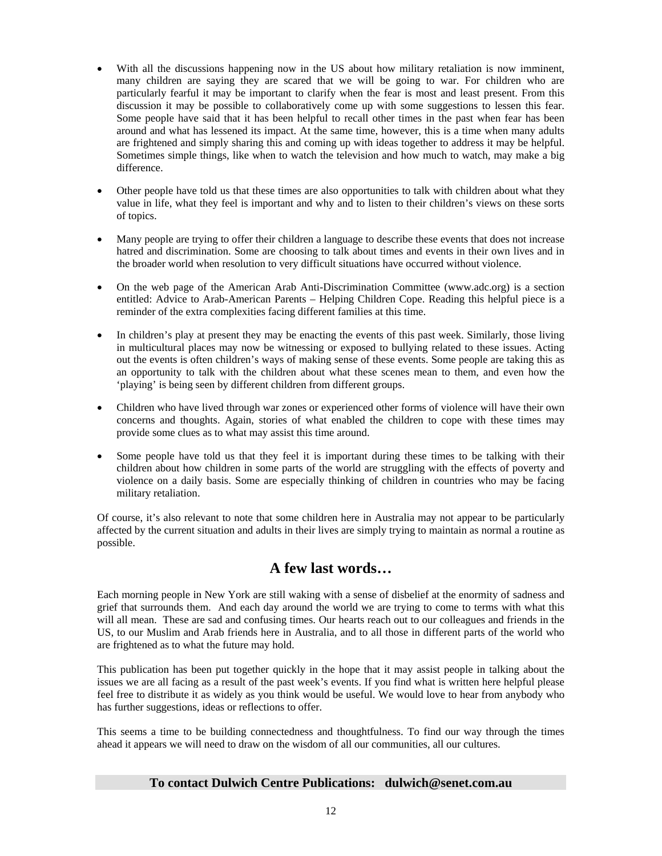- With all the discussions happening now in the US about how military retaliation is now imminent, many children are saying they are scared that we will be going to war. For children who are particularly fearful it may be important to clarify when the fear is most and least present. From this discussion it may be possible to collaboratively come up with some suggestions to lessen this fear. Some people have said that it has been helpful to recall other times in the past when fear has been around and what has lessened its impact. At the same time, however, this is a time when many adults are frightened and simply sharing this and coming up with ideas together to address it may be helpful. Sometimes simple things, like when to watch the television and how much to watch, may make a big difference.
- Other people have told us that these times are also opportunities to talk with children about what they value in life, what they feel is important and why and to listen to their children's views on these sorts of topics.
- Many people are trying to offer their children a language to describe these events that does not increase hatred and discrimination. Some are choosing to talk about times and events in their own lives and in the broader world when resolution to very difficult situations have occurred without violence.
- On the web page of the American Arab Anti-Discrimination Committee (www.adc.org) is a section entitled: Advice to Arab-American Parents – Helping Children Cope. Reading this helpful piece is a reminder of the extra complexities facing different families at this time.
- In children's play at present they may be enacting the events of this past week. Similarly, those living in multicultural places may now be witnessing or exposed to bullying related to these issues. Acting out the events is often children's ways of making sense of these events. Some people are taking this as an opportunity to talk with the children about what these scenes mean to them, and even how the 'playing' is being seen by different children from different groups.
- Children who have lived through war zones or experienced other forms of violence will have their own concerns and thoughts. Again, stories of what enabled the children to cope with these times may provide some clues as to what may assist this time around.
- Some people have told us that they feel it is important during these times to be talking with their children about how children in some parts of the world are struggling with the effects of poverty and violence on a daily basis. Some are especially thinking of children in countries who may be facing military retaliation.

Of course, it's also relevant to note that some children here in Australia may not appear to be particularly affected by the current situation and adults in their lives are simply trying to maintain as normal a routine as possible.

# **A few last words…**

Each morning people in New York are still waking with a sense of disbelief at the enormity of sadness and grief that surrounds them. And each day around the world we are trying to come to terms with what this will all mean. These are sad and confusing times. Our hearts reach out to our colleagues and friends in the US, to our Muslim and Arab friends here in Australia, and to all those in different parts of the world who are frightened as to what the future may hold.

This publication has been put together quickly in the hope that it may assist people in talking about the issues we are all facing as a result of the past week's events. If you find what is written here helpful please feel free to distribute it as widely as you think would be useful. We would love to hear from anybody who has further suggestions, ideas or reflections to offer.

This seems a time to be building connectedness and thoughtfulness. To find our way through the times ahead it appears we will need to draw on the wisdom of all our communities, all our cultures.

#### **To contact Dulwich Centre Publications: dulwich@senet.com.au**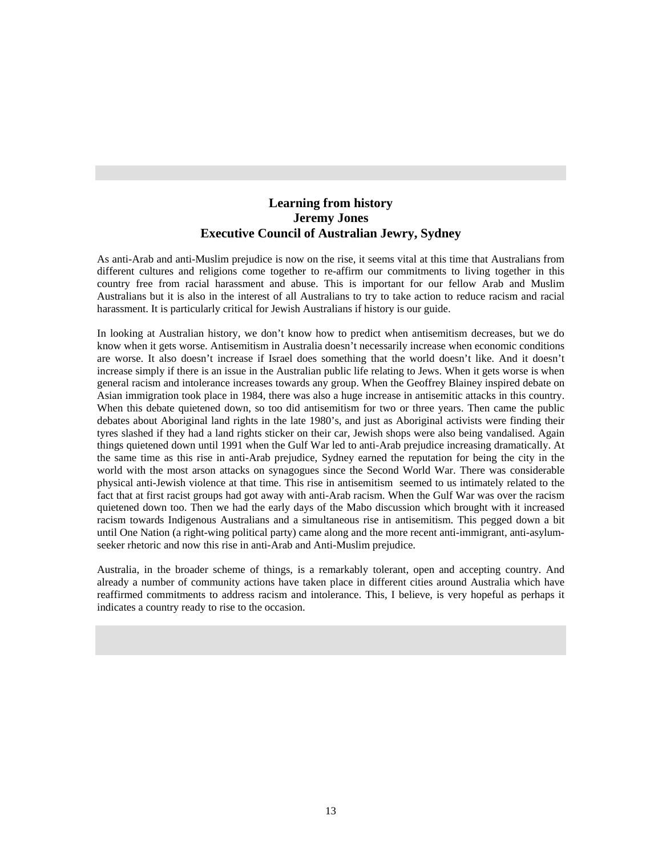# **Learning from history Jeremy Jones Executive Council of Australian Jewry, Sydney**

As anti-Arab and anti-Muslim prejudice is now on the rise, it seems vital at this time that Australians from different cultures and religions come together to re-affirm our commitments to living together in this country free from racial harassment and abuse. This is important for our fellow Arab and Muslim Australians but it is also in the interest of all Australians to try to take action to reduce racism and racial harassment. It is particularly critical for Jewish Australians if history is our guide.

In looking at Australian history, we don't know how to predict when antisemitism decreases, but we do know when it gets worse. Antisemitism in Australia doesn't necessarily increase when economic conditions are worse. It also doesn't increase if Israel does something that the world doesn't like. And it doesn't increase simply if there is an issue in the Australian public life relating to Jews. When it gets worse is when general racism and intolerance increases towards any group. When the Geoffrey Blainey inspired debate on Asian immigration took place in 1984, there was also a huge increase in antisemitic attacks in this country. When this debate quietened down, so too did antisemitism for two or three years. Then came the public debates about Aboriginal land rights in the late 1980's, and just as Aboriginal activists were finding their tyres slashed if they had a land rights sticker on their car, Jewish shops were also being vandalised. Again things quietened down until 1991 when the Gulf War led to anti-Arab prejudice increasing dramatically. At the same time as this rise in anti-Arab prejudice, Sydney earned the reputation for being the city in the world with the most arson attacks on synagogues since the Second World War. There was considerable physical anti-Jewish violence at that time. This rise in antisemitism seemed to us intimately related to the fact that at first racist groups had got away with anti-Arab racism. When the Gulf War was over the racism quietened down too. Then we had the early days of the Mabo discussion which brought with it increased racism towards Indigenous Australians and a simultaneous rise in antisemitism. This pegged down a bit until One Nation (a right-wing political party) came along and the more recent anti-immigrant, anti-asylumseeker rhetoric and now this rise in anti-Arab and Anti-Muslim prejudice.

Australia, in the broader scheme of things, is a remarkably tolerant, open and accepting country. And already a number of community actions have taken place in different cities around Australia which have reaffirmed commitments to address racism and intolerance. This, I believe, is very hopeful as perhaps it indicates a country ready to rise to the occasion.